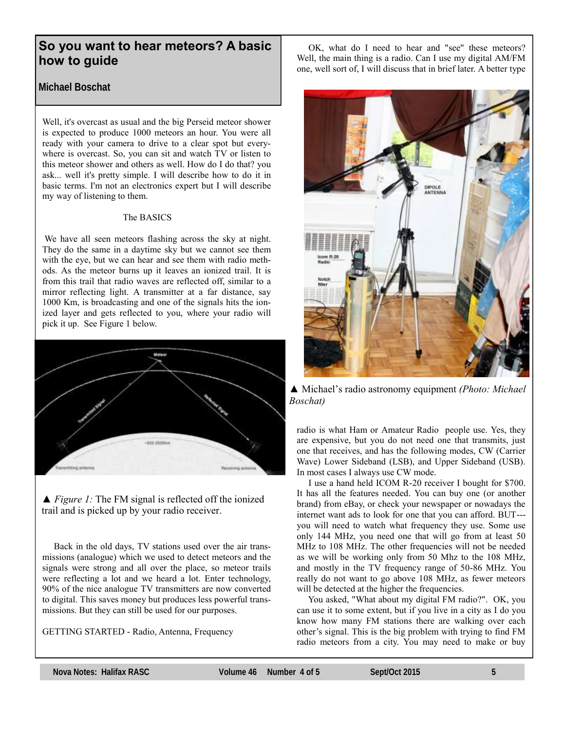# **So you want to hear meteors? A basic how to guide**

**Michael Boschat**

Well, it's overcast as usual and the big Perseid meteor shower is expected to produce 1000 meteors an hour. You were all ready with your camera to drive to a clear spot but everywhere is overcast. So, you can sit and watch TV or listen to this meteor shower and others as well. How do I do that? you ask... well it's pretty simple. I will describe how to do it in basic terms. I'm not an electronics expert but I will describe my way of listening to them.

# The BASICS

We have all seen meteors flashing across the sky at night. They do the same in a daytime sky but we cannot see them with the eye, but we can hear and see them with radio methods. As the meteor burns up it leaves an ionized trail. It is from this trail that radio waves are reflected off, similar to a mirror reflecting light. A transmitter at a far distance, say 1000 Km, is broadcasting and one of the signals hits the ionized layer and gets reflected to you, where your radio will pick it up. See Figure 1 below.



*▲ Figure 1:* The FM signal is reflected off the ionized trail and is picked up by your radio receiver.

 Back in the old days, TV stations used over the air transmissions (analogue) which we used to detect meteors and the signals were strong and all over the place, so meteor trails were reflecting a lot and we heard a lot. Enter technology, 90% of the nice analogue TV transmitters are now converted to digital. This saves money but produces less powerful transmissions. But they can still be used for our purposes.

GETTING STARTED - Radio, Antenna, Frequency

 OK, what do I need to hear and "see" these meteors? Well, the main thing is a radio. Can I use my digital AM/FM one, well sort of, I will discuss that in brief later. A better type



*▲* Michael's radio astronomy equipment *(Photo: Michael Boschat)*

radio is what Ham or Amateur Radio people use. Yes, they are expensive, but you do not need one that transmits, just one that receives, and has the following modes, CW (Carrier Wave) Lower Sideband (LSB), and Upper Sideband (USB). In most cases I always use CW mode.

 I use a hand held ICOM R-20 receiver I bought for \$700. It has all the features needed. You can buy one (or another brand) from eBay, or check your newspaper or nowadays the internet want ads to look for one that you can afford. BUT-- you will need to watch what frequency they use. Some use only 144 MHz, you need one that will go from at least 50 MHz to 108 MHz. The other frequencies will not be needed as we will be working only from 50 Mhz to the 108 MHz, and mostly in the TV frequency range of 50-86 MHz. You really do not want to go above 108 MHz, as fewer meteors will be detected at the higher the frequencies.

 You asked, "What about my digital FM radio?". OK, you can use it to some extent, but if you live in a city as I do you know how many FM stations there are walking over each other's signal. This is the big problem with trying to find FM radio meteors from a city. You may need to make or buy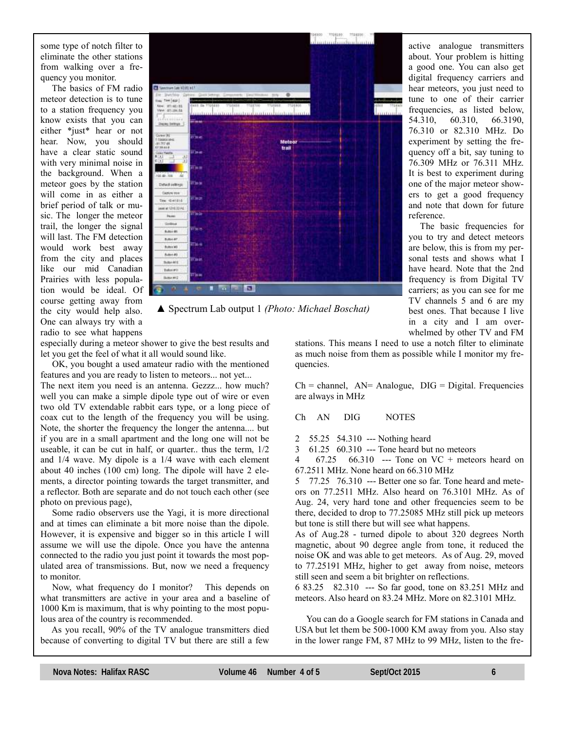some type of notch filter to eliminate the other stations from walking over a frequency you monitor.

 The basics of FM radio meteor detection is to tune to a station frequency you know exists that you can either \*just\* hear or not hear. Now, you should have a clear static sound with very minimal noise in the background. When a meteor goes by the station will come in as either a brief period of talk or music. The longer the meteor trail, the longer the signal will last. The FM detection would work best away from the city and places like our mid Canadian Prairies with less population would be ideal. Of course getting away from the city would help also. One can always try with a radio to see what happens



*▲* Spectrum Lab output 1 *(Photo: Michael Boschat)*

especially during a meteor shower to give the best results and let you get the feel of what it all would sound like.

 OK, you bought a used amateur radio with the mentioned features and you are ready to listen to meteors... not yet...

The next item you need is an antenna. Gezzz... how much? well you can make a simple dipole type out of wire or even two old TV extendable rabbit ears type, or a long piece of coax cut to the length of the frequency you will be using. Note, the shorter the frequency the longer the antenna.... but if you are in a small apartment and the long one will not be useable, it can be cut in half, or quarter.. thus the term, 1/2 and 1/4 wave. My dipole is a 1/4 wave with each element about 40 inches (100 cm) long. The dipole will have 2 elements, a director pointing towards the target transmitter, and a reflector. Both are separate and do not touch each other (see photo on previous page),

 Some radio observers use the Yagi, it is more directional and at times can eliminate a bit more noise than the dipole. However, it is expensive and bigger so in this article I will assume we will use the dipole. Once you have the antenna connected to the radio you just point it towards the most populated area of transmissions. But, now we need a frequency to monitor.

 Now, what frequency do I monitor? This depends on what transmitters are active in your area and a baseline of 1000 Km is maximum, that is why pointing to the most populous area of the country is recommended.

 As you recall, 90% of the TV analogue transmitters died because of converting to digital TV but there are still a few

best ones. That because I live in a city and I am overwhelmed by other TV and FM stations. This means I need to use a notch filter to eliminate as much noise from them as possible while I monitor my frequencies.

The basic frequencies for

 $Ch = channel$ ,  $AN = Analogue$ ,  $DIG = Digital$ . Frequencies are always in MHz

Ch AN DIG NOTES

2 55.25 54.310 --- Nothing heard

3 61.25 60.310 --- Tone heard but no meteors

4 67.25 66.310 --- Tone on VC + meteors heard on 67.2511 MHz. None heard on 66.310 MHz

5 77.25 76.310 --- Better one so far. Tone heard and meteors on 77.2511 MHz. Also heard on 76.3101 MHz. As of Aug. 24, very hard tone and other frequencies seem to be there, decided to drop to 77.25085 MHz still pick up meteors but tone is still there but will see what happens.

As of Aug.28 - turned dipole to about 320 degrees North magnetic, about 90 degree angle from tone, it reduced the noise OK and was able to get meteors. As of Aug. 29, moved to 77.25191 MHz, higher to get away from noise, meteors still seen and seem a bit brighter on reflections.

6 83.25 82.310 --- So far good, tone on 83.251 MHz and meteors. Also heard on 83.24 MHz. More on 82.3101 MHz.

 You can do a Google search for FM stations in Canada and USA but let them be 500-1000 KM away from you. Also stay in the lower range FM, 87 MHz to 99 MHz, listen to the fre-